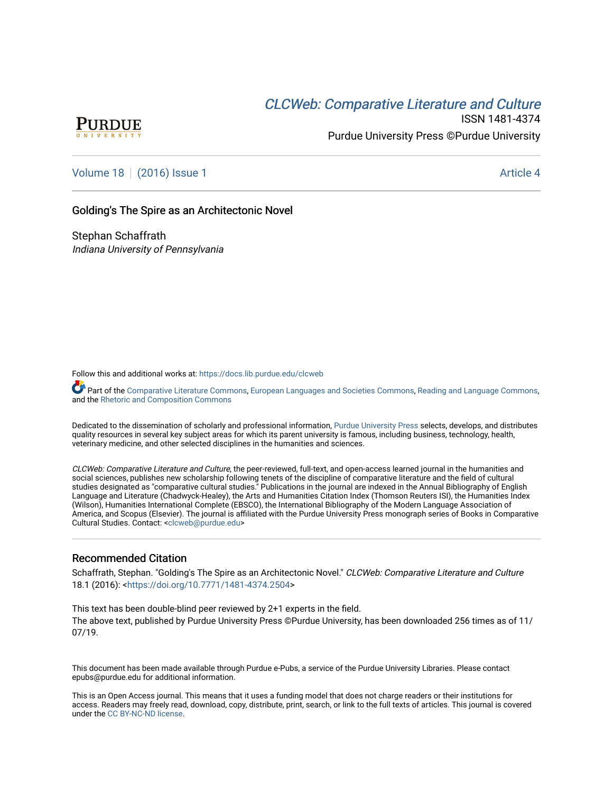## CLCW[eb: Comparative Liter](https://docs.lib.purdue.edu/clcweb)ature and Culture



ISSN 1481-4374 Purdue University Press ©Purdue University

## [Volume 18](https://docs.lib.purdue.edu/clcweb/vol18) | [\(2016\) Issue 1](https://docs.lib.purdue.edu/clcweb/vol18/iss1) Article 4

### Golding's The Spire as an Architectonic Novel

Stephan Schaffrath Indiana University of Pennsylvania

Follow this and additional works at: [https://docs.lib.purdue.edu/clcweb](https://docs.lib.purdue.edu/clcweb?utm_source=docs.lib.purdue.edu%2Fclcweb%2Fvol18%2Fiss1%2F4&utm_medium=PDF&utm_campaign=PDFCoverPages)

Part of the [Comparative Literature Commons,](http://network.bepress.com/hgg/discipline/454?utm_source=docs.lib.purdue.edu%2Fclcweb%2Fvol18%2Fiss1%2F4&utm_medium=PDF&utm_campaign=PDFCoverPages) [European Languages and Societies Commons,](http://network.bepress.com/hgg/discipline/482?utm_source=docs.lib.purdue.edu%2Fclcweb%2Fvol18%2Fiss1%2F4&utm_medium=PDF&utm_campaign=PDFCoverPages) [Reading and Language Commons](http://network.bepress.com/hgg/discipline/1037?utm_source=docs.lib.purdue.edu%2Fclcweb%2Fvol18%2Fiss1%2F4&utm_medium=PDF&utm_campaign=PDFCoverPages), and the [Rhetoric and Composition Commons](http://network.bepress.com/hgg/discipline/573?utm_source=docs.lib.purdue.edu%2Fclcweb%2Fvol18%2Fiss1%2F4&utm_medium=PDF&utm_campaign=PDFCoverPages) 

Dedicated to the dissemination of scholarly and professional information, [Purdue University Press](http://www.thepress.purdue.edu/) selects, develops, and distributes quality resources in several key subject areas for which its parent university is famous, including business, technology, health, veterinary medicine, and other selected disciplines in the humanities and sciences.

CLCWeb: Comparative Literature and Culture, the peer-reviewed, full-text, and open-access learned journal in the humanities and social sciences, publishes new scholarship following tenets of the discipline of comparative literature and the field of cultural studies designated as "comparative cultural studies." Publications in the journal are indexed in the Annual Bibliography of English Language and Literature (Chadwyck-Healey), the Arts and Humanities Citation Index (Thomson Reuters ISI), the Humanities Index (Wilson), Humanities International Complete (EBSCO), the International Bibliography of the Modern Language Association of America, and Scopus (Elsevier). The journal is affiliated with the Purdue University Press monograph series of Books in Comparative Cultural Studies. Contact: [<clcweb@purdue.edu](mailto:clcweb@purdue.edu)>

### Recommended Citation

Schaffrath, Stephan. "Golding's The Spire as an Architectonic Novel." CLCWeb: Comparative Literature and Culture 18.1 (2016): [<https://doi.org/10.7771/1481-4374.2504>](https://doi.org/10.7771/1481-4374.2504)

This text has been double-blind peer reviewed by 2+1 experts in the field. The above text, published by Purdue University Press ©Purdue University, has been downloaded 256 times as of 11/ 07/19.

This document has been made available through Purdue e-Pubs, a service of the Purdue University Libraries. Please contact epubs@purdue.edu for additional information.

This is an Open Access journal. This means that it uses a funding model that does not charge readers or their institutions for access. Readers may freely read, download, copy, distribute, print, search, or link to the full texts of articles. This journal is covered under the [CC BY-NC-ND license.](https://creativecommons.org/licenses/by-nc-nd/4.0/)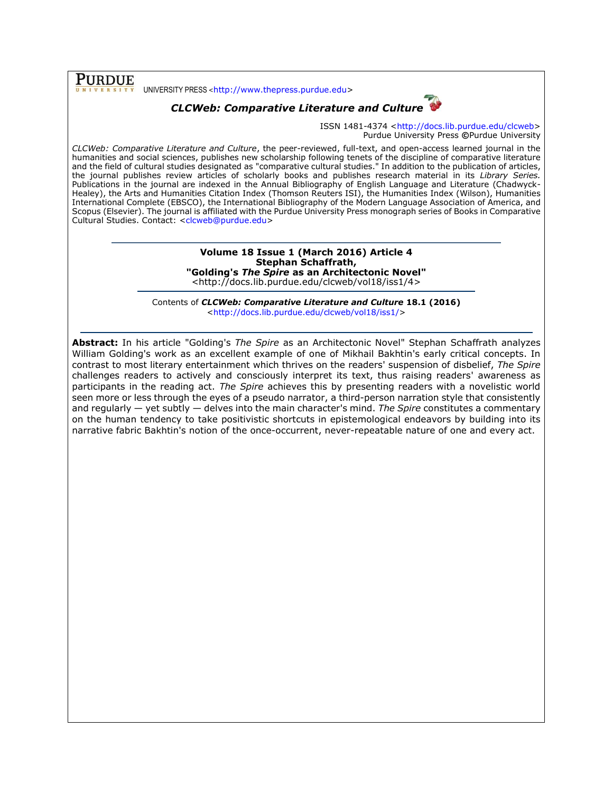**PURDUE** UNIVERSITY PRESS <[http://www.thepress.purdue.edu>](http://www.thepress.purdue.edu/)

## *CLCWeb: Comparative Literature and Culture*



ISSN 1481-4374 [<http://docs.lib.purdue.edu/clcweb>](http://docs.lib.purdue.edu/clcweb) Purdue University Press **©**Purdue University

*CLCWeb: Comparative Literature and Culture*, the peer-reviewed, full-text, and open-access learned journal in the humanities and social sciences, publishes new scholarship following tenets of the discipline of comparative literature and the field of cultural studies designated as "comparative cultural studies." In addition to the publication of articles, the journal publishes review articles of scholarly books and publishes research material in its *Library Series.*  Publications in the journal are indexed in the Annual Bibliography of English Language and Literature (Chadwyck-Healey), the Arts and Humanities Citation Index (Thomson Reuters ISI), the Humanities Index (Wilson), Humanities International Complete (EBSCO), the International Bibliography of the Modern Language Association of America, and Scopus (Elsevier). The journal is affiliated with the Purdue University Press monograph series of Books in Comparative Cultural Studies. Contact: [<clcweb@purdue.edu>](mailto:clcweb@purdue.edu)

#### **Volume 18 Issue 1 (March 2016) Article 4 Stephan Schaffrath, "Golding's** *The Spire* **as an Architectonic Novel"** <http://docs.lib.purdue.edu/clcweb/vol18/iss1/4>

Contents of *CLCWeb: Comparative Literature and Culture* **18.1 (2016)** [<http://docs.lib.purdue.edu/clcweb/vol18/iss1/>](http://docs.lib.purdue.edu/clcweb/vol18/iss1/)

**Abstract:** In his article "Golding's *The Spire* as an Architectonic Novel" Stephan Schaffrath analyzes William Golding's work as an excellent example of one of Mikhail Bakhtin's early critical concepts. In contrast to most literary entertainment which thrives on the readers' suspension of disbelief, *The Spire* challenges readers to actively and consciously interpret its text, thus raising readers' awareness as participants in the reading act. *The Spire* achieves this by presenting readers with a novelistic world seen more or less through the eyes of a pseudo narrator, a third-person narration style that consistently and regularly — yet subtly — delves into the main character's mind. *The Spire* constitutes a commentary on the human tendency to take positivistic shortcuts in epistemological endeavors by building into its narrative fabric Bakhtin's notion of the once-occurrent, never-repeatable nature of one and every act.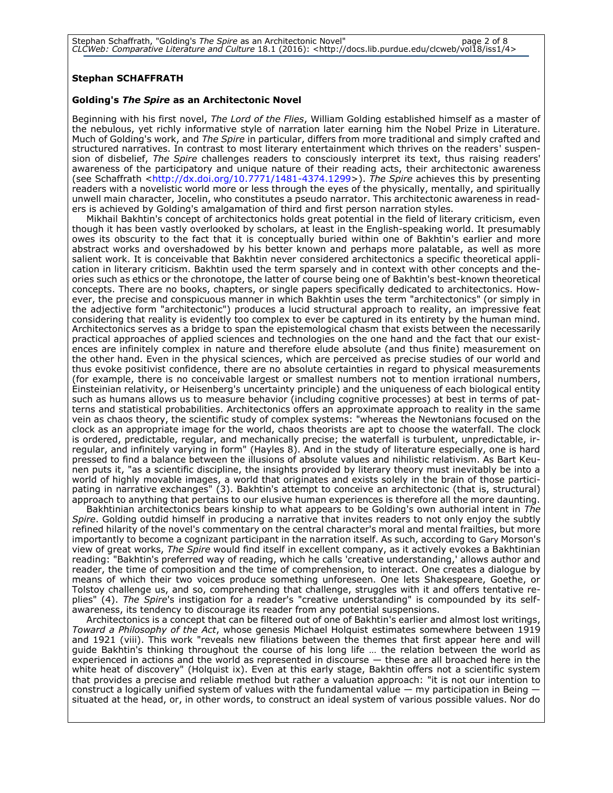### **Stephan SCHAFFRATH**

#### **Golding's** *The Spire* **as an Architectonic Novel**

Beginning with his first novel, *The Lord of the Flies*, William Golding established himself as a master of the nebulous, yet richly informative style of narration later earning him the Nobel Prize in Literature. Much of Golding's work, and *The Spire* in particular, differs from more traditional and simply crafted and structured narratives. In contrast to most literary entertainment which thrives on the readers' suspension of disbelief, *The Spire* challenges readers to consciously interpret its text, thus raising readers' awareness of the participatory and unique nature of their reading acts, their architectonic awareness (see Schaffrath [<http://dx.doi.org/10.7771/1481-4374.1299>](http://dx.doi.org/10.7771/1481-4374.1299)). The Spire achieves this by presenting readers with a novelistic world more or less through the eyes of the physically, mentally, and spiritually unwell main character, Jocelin, who constitutes a pseudo narrator. This architectonic awareness in readers is achieved by Golding's amalgamation of third and first person narration styles.

Mikhail Bakhtin's concept of architectonics holds great potential in the field of literary criticism, even though it has been vastly overlooked by scholars, at least in the English-speaking world. It presumably owes its obscurity to the fact that it is conceptually buried within one of Bakhtin's earlier and more abstract works and overshadowed by his better known and perhaps more palatable, as well as more salient work. It is conceivable that Bakhtin never considered architectonics a specific theoretical application in literary criticism. Bakhtin used the term sparsely and in context with other concepts and theories such as ethics or the chronotope, the latter of course being one of Bakhtin's best-known theoretical concepts. There are no books, chapters, or single papers specifically dedicated to architectonics. However, the precise and conspicuous manner in which Bakhtin uses the term "architectonics" (or simply in the adjective form "architectonic") produces a lucid structural approach to reality, an impressive feat considering that reality is evidently too complex to ever be captured in its entirety by the human mind. Architectonics serves as a bridge to span the epistemological chasm that exists between the necessarily practical approaches of applied sciences and technologies on the one hand and the fact that our existences are infinitely complex in nature and therefore elude absolute (and thus finite) measurement on the other hand. Even in the physical sciences, which are perceived as precise studies of our world and thus evoke positivist confidence, there are no absolute certainties in regard to physical measurements (for example, there is no conceivable largest or smallest numbers not to mention irrational numbers, Einsteinian relativity, or Heisenberg's uncertainty principle) and the uniqueness of each biological entity such as humans allows us to measure behavior (including cognitive processes) at best in terms of patterns and statistical probabilities. Architectonics offers an approximate approach to reality in the same vein as chaos theory, the scientific study of complex systems: "whereas the Newtonians focused on the clock as an appropriate image for the world, chaos theorists are apt to choose the waterfall. The clock is ordered, predictable, regular, and mechanically precise; the waterfall is turbulent, unpredictable, irregular, and infinitely varying in form" (Hayles 8). And in the study of literature especially, one is hard pressed to find a balance between the illusions of absolute values and nihilistic relativism. As Bart Keunen puts it, "as a scientific discipline, the insights provided by literary theory must inevitably be into a world of highly movable images, a world that originates and exists solely in the brain of those participating in narrative exchanges" (3). Bakhtin's attempt to conceive an architectonic (that is, structural) approach to anything that pertains to our elusive human experiences is therefore all the more daunting.

Bakhtinian architectonics bears kinship to what appears to be Golding's own authorial intent in *The Spire*. Golding outdid himself in producing a narrative that invites readers to not only enjoy the subtly refined hilarity of the novel's commentary on the central character's moral and mental frailties, but more importantly to become a cognizant participant in the narration itself. As such, according to Gary Morson's view of great works, *The Spire* would find itself in excellent company, as it actively evokes a Bakhtinian reading: "Bakhtin's preferred way of reading, which he calls 'creative understanding,' allows author and reader, the time of composition and the time of comprehension, to interact. One creates a dialogue by means of which their two voices produce something unforeseen. One lets Shakespeare, Goethe, or Tolstoy challenge us, and so, comprehending that challenge, struggles with it and offers tentative replies" (4). *The Spire*'s instigation for a reader's "creative understanding" is compounded by its selfawareness, its tendency to discourage its reader from any potential suspensions.

Architectonics is a concept that can be filtered out of one of Bakhtin's earlier and almost lost writings, *Toward a Philosophy of the Act*, whose genesis Michael Holquist estimates somewhere between 1919 and 1921 (viii). This work "reveals new filiations between the themes that first appear here and will guide Bakhtin's thinking throughout the course of his long life … the relation between the world as experienced in actions and the world as represented in discourse — these are all broached here in the white heat of discovery" (Holquist ix). Even at this early stage, Bakhtin offers not a scientific system that provides a precise and reliable method but rather a valuation approach: "it is not our intention to construct a logically unified system of values with the fundamental value  $-$  my participation in Being  $$ situated at the head, or, in other words, to construct an ideal system of various possible values. Nor do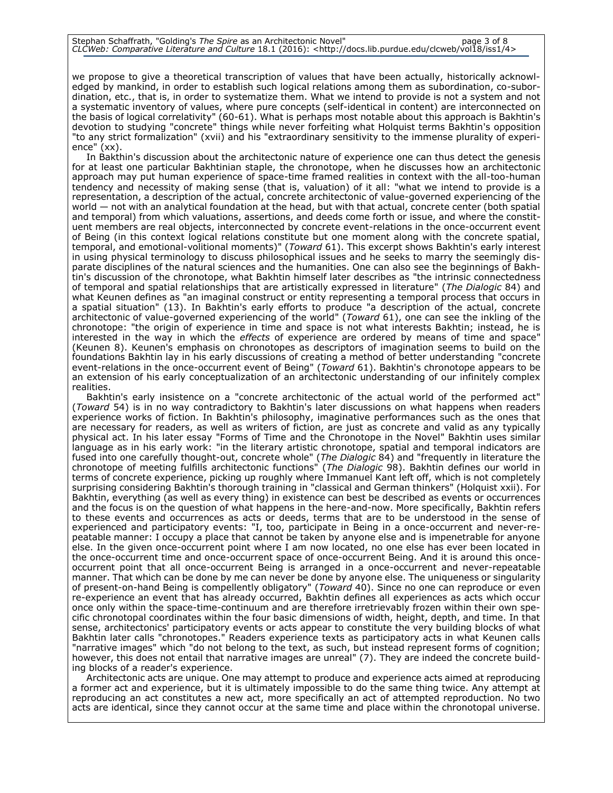we propose to give a theoretical transcription of values that have been actually, historically acknowledged by mankind, in order to establish such logical relations among them as subordination, co-subordination, etc., that is, in order to systematize them. What we intend to provide is not a system and not a systematic inventory of values, where pure concepts (self-identical in content) are interconnected on the basis of logical correlativity" (60-61). What is perhaps most notable about this approach is Bakhtin's devotion to studying "concrete" things while never forfeiting what Holquist terms Bakhtin's opposition "to any strict formalization" (xvii) and his "extraordinary sensitivity to the immense plurality of experience" (xx).

In Bakthin's discussion about the architectonic nature of experience one can thus detect the genesis for at least one particular Bakhtinian staple, the chronotope, when he discusses how an architectonic approach may put human experience of space-time framed realities in context with the all-too-human tendency and necessity of making sense (that is, valuation) of it all: "what we intend to provide is a representation, a description of the actual, concrete architectonic of value-governed experiencing of the world — not with an analytical foundation at the head, but with that actual, concrete center (both spatial and temporal) from which valuations, assertions, and deeds come forth or issue, and where the constituent members are real objects, interconnected by concrete event-relations in the once-occurrent event of Being (in this context logical relations constitute but one moment along with the concrete spatial, temporal, and emotional-volitional moments)" (*Toward* 61). This excerpt shows Bakhtin's early interest in using physical terminology to discuss philosophical issues and he seeks to marry the seemingly disparate disciplines of the natural sciences and the humanities. One can also see the beginnings of Bakhtin's discussion of the chronotope, what Bakhtin himself later describes as "the intrinsic connectedness of temporal and spatial relationships that are artistically expressed in literature" (*The Dialogic* 84) and what Keunen defines as "an imaginal construct or entity representing a temporal process that occurs in a spatial situation" (13). In Bakhtin's early efforts to produce "a description of the actual, concrete architectonic of value-governed experiencing of the world" (*Toward* 61), one can see the inkling of the chronotope: "the origin of experience in time and space is not what interests Bakhtin; instead, he is interested in the way in which the *effects* of experience are ordered by means of time and space" (Keunen 8). Keunen's emphasis on chronotopes as descriptors of imagination seems to build on the foundations Bakhtin lay in his early discussions of creating a method of better understanding "concrete event-relations in the once-occurrent event of Being" (*Toward* 61). Bakhtin's chronotope appears to be an extension of his early conceptualization of an architectonic understanding of our infinitely complex realities.

Bakhtin's early insistence on a "concrete architectonic of the actual world of the performed act" (*Toward* 54) is in no way contradictory to Bakhtin's later discussions on what happens when readers experience works of fiction. In Bakhtin's philosophy, imaginative performances such as the ones that are necessary for readers, as well as writers of fiction, are just as concrete and valid as any typically physical act. In his later essay "Forms of Time and the Chronotope in the Novel" Bakhtin uses similar language as in his early work: "in the literary artistic chronotope, spatial and temporal indicators are fused into one carefully thought-out, concrete whole" (*The Dialogic* 84) and "frequently in literature the chronotope of meeting fulfills architectonic functions" (*The Dialogic* 98). Bakhtin defines our world in terms of concrete experience, picking up roughly where Immanuel Kant left off, which is not completely surprising considering Bakhtin's thorough training in "classical and German thinkers" (Holquist xxii). For Bakhtin, everything (as well as every thing) in existence can best be described as events or occurrences and the focus is on the question of what happens in the here-and-now. More specifically, Bakhtin refers to these events and occurrences as acts or deeds, terms that are to be understood in the sense of experienced and participatory events: "I, too, participate in Being in a once-occurrent and never-repeatable manner: I occupy a place that cannot be taken by anyone else and is impenetrable for anyone else. In the given once-occurrent point where I am now located, no one else has ever been located in the once-occurrent time and once-occurrent space of once-occurrent Being. And it is around this onceoccurrent point that all once-occurrent Being is arranged in a once-occurrent and never-repeatable manner. That which can be done by me can never be done by anyone else. The uniqueness or singularity of present-on-hand Being is compellently obligatory" (*Toward* 40). Since no one can reproduce or even re-experience an event that has already occurred, Bakhtin defines all experiences as acts which occur once only within the space-time-continuum and are therefore irretrievably frozen within their own specific chronotopal coordinates within the four basic dimensions of width, height, depth, and time. In that sense, architectonics' participatory events or acts appear to constitute the very building blocks of what Bakhtin later calls "chronotopes." Readers experience texts as participatory acts in what Keunen calls "narrative images" which "do not belong to the text, as such, but instead represent forms of cognition; however, this does not entail that narrative images are unreal" (7). They are indeed the concrete building blocks of a reader's experience.

Architectonic acts are unique. One may attempt to produce and experience acts aimed at reproducing a former act and experience, but it is ultimately impossible to do the same thing twice. Any attempt at reproducing an act constitutes a new act, more specifically an act of attempted reproduction. No two acts are identical, since they cannot occur at the same time and place within the chronotopal universe.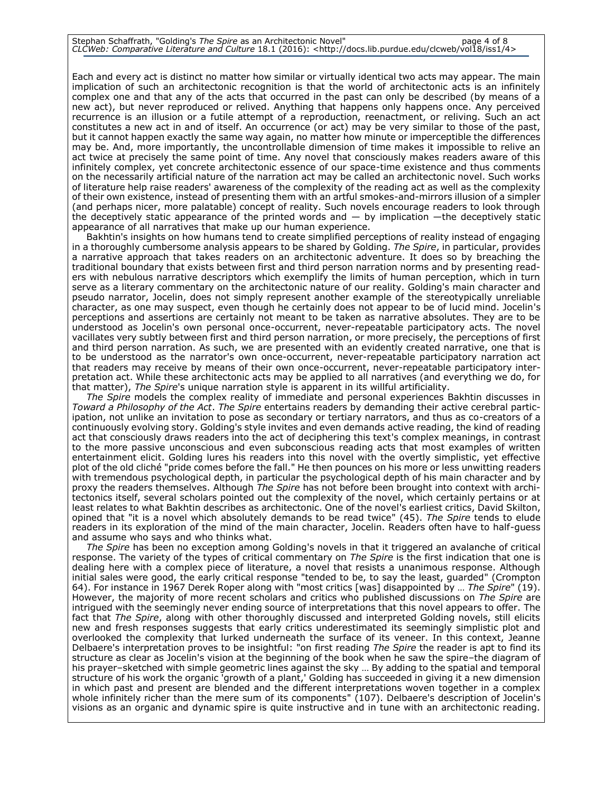# Stephan Schaffrath, "Golding's *The Spire* as an Architectonic Novel" page 4 of 8 *CLCWeb: Comparative Literature and Culture* 18.1 (2016): <http://docs.lib.purdue.edu/clcweb/vol18/iss1/4>

Each and every act is distinct no matter how similar or virtually identical two acts may appear. The main implication of such an architectonic recognition is that the world of architectonic acts is an infinitely complex one and that any of the acts that occurred in the past can only be described (by means of a new act), but never reproduced or relived. Anything that happens only happens once. Any perceived recurrence is an illusion or a futile attempt of a reproduction, reenactment, or reliving. Such an act constitutes a new act in and of itself. An occurrence (or act) may be very similar to those of the past, but it cannot happen exactly the same way again, no matter how minute or imperceptible the differences may be. And, more importantly, the uncontrollable dimension of time makes it impossible to relive an act twice at precisely the same point of time. Any novel that consciously makes readers aware of this infinitely complex, yet concrete architectonic essence of our space-time existence and thus comments on the necessarily artificial nature of the narration act may be called an architectonic novel. Such works of literature help raise readers' awareness of the complexity of the reading act as well as the complexity of their own existence, instead of presenting them with an artful smokes-and-mirrors illusion of a simpler (and perhaps nicer, more palatable) concept of reality. Such novels encourage readers to look through the deceptively static appearance of the printed words and — by implication —the deceptively static appearance of all narratives that make up our human experience.

Bakhtin's insights on how humans tend to create simplified perceptions of reality instead of engaging in a thoroughly cumbersome analysis appears to be shared by Golding. *The Spire*, in particular, provides a narrative approach that takes readers on an architectonic adventure. It does so by breaching the traditional boundary that exists between first and third person narration norms and by presenting readers with nebulous narrative descriptors which exemplify the limits of human perception, which in turn serve as a literary commentary on the architectonic nature of our reality. Golding's main character and pseudo narrator, Jocelin, does not simply represent another example of the stereotypically unreliable character, as one may suspect, even though he certainly does not appear to be of lucid mind. Jocelin's perceptions and assertions are certainly not meant to be taken as narrative absolutes. They are to be understood as Jocelin's own personal once-occurrent, never-repeatable participatory acts. The novel vacillates very subtly between first and third person narration, or more precisely, the perceptions of first and third person narration. As such, we are presented with an evidently created narrative, one that is to be understood as the narrator's own once-occurrent, never-repeatable participatory narration act that readers may receive by means of their own once-occurrent, never-repeatable participatory interpretation act. While these architectonic acts may be applied to all narratives (and everything we do, for that matter), *The Spire*'s unique narration style is apparent in its willful artificiality.

*The Spire* models the complex reality of immediate and personal experiences Bakhtin discusses in *Toward a Philosophy of the Act*. *The Spire* entertains readers by demanding their active cerebral participation, not unlike an invitation to pose as secondary or tertiary narrators, and thus as co-creators of a continuously evolving story. Golding's style invites and even demands active reading, the kind of reading act that consciously draws readers into the act of deciphering this text's complex meanings, in contrast to the more passive unconscious and even subconscious reading acts that most examples of written entertainment elicit. Golding lures his readers into this novel with the overtly simplistic, yet effective plot of the old cliché "pride comes before the fall." He then pounces on his more or less unwitting readers with tremendous psychological depth, in particular the psychological depth of his main character and by proxy the readers themselves. Although *The Spire* has not before been brought into context with architectonics itself, several scholars pointed out the complexity of the novel, which certainly pertains or at least relates to what Bakhtin describes as architectonic. One of the novel's earliest critics, David Skilton, opined that "it is a novel which absolutely demands to be read twice" (45). *The Spire* tends to elude readers in its exploration of the mind of the main character, Jocelin. Readers often have to half-guess and assume who says and who thinks what.

*The Spire* has been no exception among Golding's novels in that it triggered an avalanche of critical response. The variety of the types of critical commentary on *The Spire* is the first indication that one is dealing here with a complex piece of literature, a novel that resists a unanimous response. Although initial sales were good, the early critical response "tended to be, to say the least, guarded" (Crompton 64). For instance in 1967 Derek Roper along with "most critics [was] disappointed by … *The Spire*" (19). However, the majority of more recent scholars and critics who published discussions on *The Spire* are intrigued with the seemingly never ending source of interpretations that this novel appears to offer. The fact that *The Spire*, along with other thoroughly discussed and interpreted Golding novels, still elicits new and fresh responses suggests that early critics underestimated its seemingly simplistic plot and overlooked the complexity that lurked underneath the surface of its veneer. In this context, Jeanne Delbaere's interpretation proves to be insightful: "on first reading *The Spire* the reader is apt to find its structure as clear as Jocelin's vision at the beginning of the book when he saw the spire–the diagram of his prayer–sketched with simple geometric lines against the sky … By adding to the spatial and temporal structure of his work the organic 'growth of a plant,' Golding has succeeded in giving it a new dimension in which past and present are blended and the different interpretations woven together in a complex whole infinitely richer than the mere sum of its components" (107). Delbaere's description of Jocelin's visions as an organic and dynamic spire is quite instructive and in tune with an architectonic reading.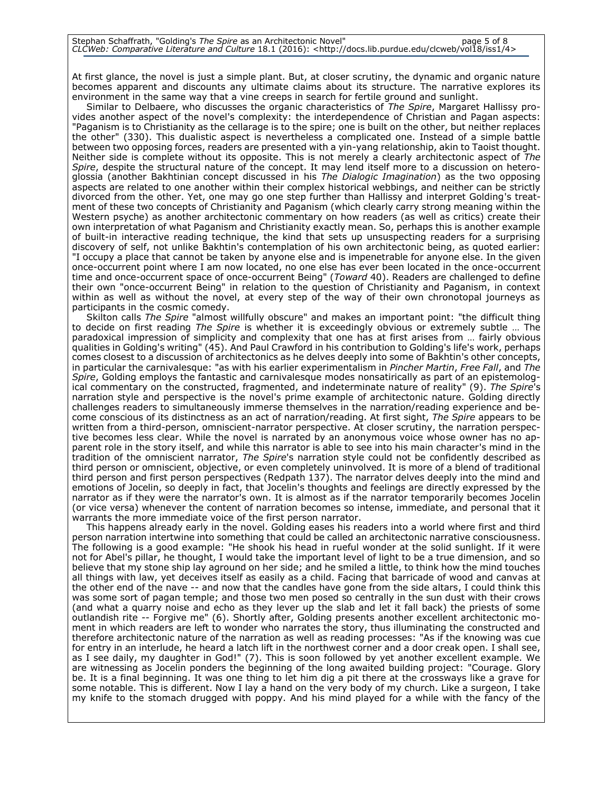# Stephan Schaffrath, "Golding's *The Spire* as an Architectonic Novel" page 5 of 8 *CLCWeb: Comparative Literature and Culture* 18.1 (2016): <http://docs.lib.purdue.edu/clcweb/vol18/iss1/4>

At first glance, the novel is just a simple plant. But, at closer scrutiny, the dynamic and organic nature becomes apparent and discounts any ultimate claims about its structure. The narrative explores its environment in the same way that a vine creeps in search for fertile ground and sunlight.

Similar to Delbaere, who discusses the organic characteristics of *The Spire*, Margaret Hallissy provides another aspect of the novel's complexity: the interdependence of Christian and Pagan aspects: "Paganism is to Christianity as the cellarage is to the spire; one is built on the other, but neither replaces the other" (330). This dualistic aspect is nevertheless a complicated one. Instead of a simple battle between two opposing forces, readers are presented with a yin-yang relationship, akin to Taoist thought. Neither side is complete without its opposite. This is not merely a clearly architectonic aspect of *The Spire*, despite the structural nature of the concept. It may lend itself more to a discussion on heteroglossia (another Bakhtinian concept discussed in his *The Dialogic Imagination*) as the two opposing aspects are related to one another within their complex historical webbings, and neither can be strictly divorced from the other. Yet, one may go one step further than Hallissy and interpret Golding's treatment of these two concepts of Christianity and Paganism (which clearly carry strong meaning within the Western psyche) as another architectonic commentary on how readers (as well as critics) create their own interpretation of what Paganism and Christianity exactly mean. So, perhaps this is another example of built-in interactive reading technique, the kind that sets up unsuspecting readers for a surprising discovery of self, not unlike Bakhtin's contemplation of his own architectonic being, as quoted earlier: "I occupy a place that cannot be taken by anyone else and is impenetrable for anyone else. In the given once-occurrent point where I am now located, no one else has ever been located in the once-occurrent time and once-occurrent space of once-occurrent Being" (*Toward* 40). Readers are challenged to define their own "once-occurrent Being" in relation to the question of Christianity and Paganism, in context within as well as without the novel, at every step of the way of their own chronotopal journeys as participants in the cosmic comedy.

Skilton calls *The Spire* "almost willfully obscure" and makes an important point: "the difficult thing to decide on first reading *The Spire* is whether it is exceedingly obvious or extremely subtle … The paradoxical impression of simplicity and complexity that one has at first arises from … fairly obvious qualities in Golding's writing" (45). And Paul Crawford in his contribution to Golding's life's work, perhaps comes closest to a discussion of architectonics as he delves deeply into some of Bakhtin's other concepts, in particular the carnivalesque: "as with his earlier experimentalism in *Pincher Martin*, *Free Fall*, and *The Spire*, Golding employs the fantastic and carnivalesque modes nonsatirically as part of an epistemological commentary on the constructed, fragmented, and indeterminate nature of reality" (9). *The Spire*'s narration style and perspective is the novel's prime example of architectonic nature. Golding directly challenges readers to simultaneously immerse themselves in the narration/reading experience and become conscious of its distinctness as an act of narration/reading. At first sight, *The Spire* appears to be written from a third-person, omniscient-narrator perspective. At closer scrutiny, the narration perspective becomes less clear. While the novel is narrated by an anonymous voice whose owner has no apparent role in the story itself, and while this narrator is able to see into his main character's mind in the tradition of the omniscient narrator, *The Spire*'s narration style could not be confidently described as third person or omniscient, objective, or even completely uninvolved. It is more of a blend of traditional third person and first person perspectives (Redpath 137). The narrator delves deeply into the mind and emotions of Jocelin, so deeply in fact, that Jocelin's thoughts and feelings are directly expressed by the narrator as if they were the narrator's own. It is almost as if the narrator temporarily becomes Jocelin (or vice versa) whenever the content of narration becomes so intense, immediate, and personal that it warrants the more immediate voice of the first person narrator.

This happens already early in the novel. Golding eases his readers into a world where first and third person narration intertwine into something that could be called an architectonic narrative consciousness. The following is a good example: "He shook his head in rueful wonder at the solid sunlight. If it were not for Abel's pillar, he thought, I would take the important level of light to be a true dimension, and so believe that my stone ship lay aground on her side; and he smiled a little, to think how the mind touches all things with law, yet deceives itself as easily as a child. Facing that barricade of wood and canvas at the other end of the nave -- and now that the candles have gone from the side altars, I could think this was some sort of pagan temple; and those two men posed so centrally in the sun dust with their crows (and what a quarry noise and echo as they lever up the slab and let it fall back) the priests of some outlandish rite -- Forgive me" (6). Shortly after, Golding presents another excellent architectonic moment in which readers are left to wonder who narrates the story, thus illuminating the constructed and therefore architectonic nature of the narration as well as reading processes: "As if the knowing was cue for entry in an interlude, he heard a latch lift in the northwest corner and a door creak open. I shall see, as I see daily, my daughter in God!" (7). This is soon followed by yet another excellent example. We are witnessing as Jocelin ponders the beginning of the long awaited building project: "Courage. Glory be. It is a final beginning. It was one thing to let him dig a pit there at the crossways like a grave for some notable. This is different. Now I lay a hand on the very body of my church. Like a surgeon, I take my knife to the stomach drugged with poppy. And his mind played for a while with the fancy of the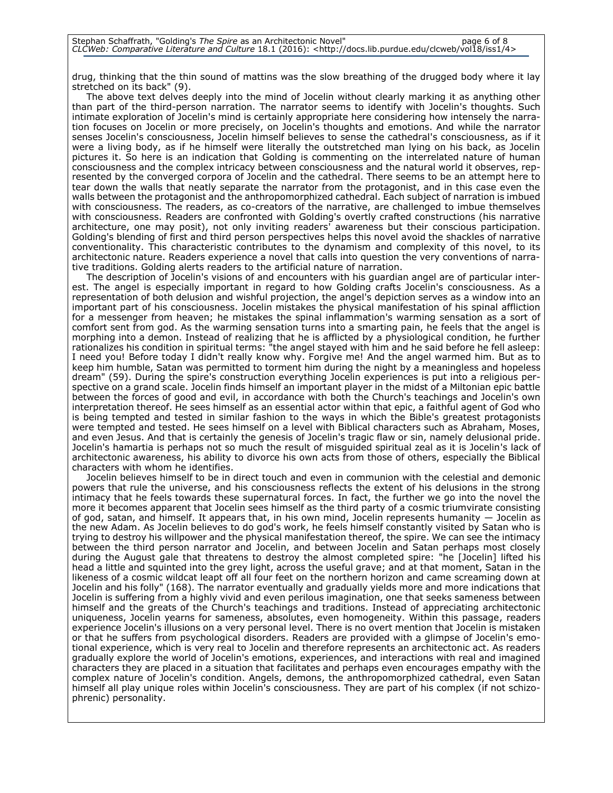drug, thinking that the thin sound of mattins was the slow breathing of the drugged body where it lay stretched on its back" (9).

The above text delves deeply into the mind of Jocelin without clearly marking it as anything other than part of the third-person narration. The narrator seems to identify with Jocelin's thoughts. Such intimate exploration of Jocelin's mind is certainly appropriate here considering how intensely the narration focuses on Jocelin or more precisely, on Jocelin's thoughts and emotions. And while the narrator senses Jocelin's consciousness, Jocelin himself believes to sense the cathedral's consciousness, as if it were a living body, as if he himself were literally the outstretched man lying on his back, as Jocelin pictures it. So here is an indication that Golding is commenting on the interrelated nature of human consciousness and the complex intricacy between consciousness and the natural world it observes, represented by the converged corpora of Jocelin and the cathedral. There seems to be an attempt here to tear down the walls that neatly separate the narrator from the protagonist, and in this case even the walls between the protagonist and the anthropomorphized cathedral. Each subject of narration is imbued with consciousness. The readers, as co-creators of the narrative, are challenged to imbue themselves with consciousness. Readers are confronted with Golding's overtly crafted constructions (his narrative architecture, one may posit), not only inviting readers' awareness but their conscious participation. Golding's blending of first and third person perspectives helps this novel avoid the shackles of narrative conventionality. This characteristic contributes to the dynamism and complexity of this novel, to its architectonic nature. Readers experience a novel that calls into question the very conventions of narrative traditions. Golding alerts readers to the artificial nature of narration.

The description of Jocelin's visions of and encounters with his guardian angel are of particular interest. The angel is especially important in regard to how Golding crafts Jocelin's consciousness. As a representation of both delusion and wishful projection, the angel's depiction serves as a window into an important part of his consciousness. Jocelin mistakes the physical manifestation of his spinal affliction for a messenger from heaven; he mistakes the spinal inflammation's warming sensation as a sort of comfort sent from god. As the warming sensation turns into a smarting pain, he feels that the angel is morphing into a demon. Instead of realizing that he is afflicted by a physiological condition, he further rationalizes his condition in spiritual terms: "the angel stayed with him and he said before he fell asleep: I need you! Before today I didn't really know why. Forgive me! And the angel warmed him. But as to keep him humble, Satan was permitted to torment him during the night by a meaningless and hopeless dream" (59). During the spire's construction everything Jocelin experiences is put into a religious perspective on a grand scale. Jocelin finds himself an important player in the midst of a Miltonian epic battle between the forces of good and evil, in accordance with both the Church's teachings and Jocelin's own interpretation thereof. He sees himself as an essential actor within that epic, a faithful agent of God who is being tempted and tested in similar fashion to the ways in which the Bible's greatest protagonists were tempted and tested. He sees himself on a level with Biblical characters such as Abraham, Moses, and even Jesus. And that is certainly the genesis of Jocelin's tragic flaw or sin, namely delusional pride. Jocelin's hamartia is perhaps not so much the result of misguided spiritual zeal as it is Jocelin's lack of architectonic awareness, his ability to divorce his own acts from those of others, especially the Biblical characters with whom he identifies.

Jocelin believes himself to be in direct touch and even in communion with the celestial and demonic powers that rule the universe, and his consciousness reflects the extent of his delusions in the strong intimacy that he feels towards these supernatural forces. In fact, the further we go into the novel the more it becomes apparent that Jocelin sees himself as the third party of a cosmic triumvirate consisting of god, satan, and himself. It appears that, in his own mind, Jocelin represents humanity — Jocelin as the new Adam. As Jocelin believes to do god's work, he feels himself constantly visited by Satan who is trying to destroy his willpower and the physical manifestation thereof, the spire. We can see the intimacy between the third person narrator and Jocelin, and between Jocelin and Satan perhaps most closely during the August gale that threatens to destroy the almost completed spire: "he [Jocelin] lifted his head a little and squinted into the grey light, across the useful grave; and at that moment, Satan in the likeness of a cosmic wildcat leapt off all four feet on the northern horizon and came screaming down at Jocelin and his folly" (168). The narrator eventually and gradually yields more and more indications that Jocelin is suffering from a highly vivid and even perilous imagination, one that seeks sameness between himself and the greats of the Church's teachings and traditions. Instead of appreciating architectonic uniqueness, Jocelin yearns for sameness, absolutes, even homogeneity. Within this passage, readers experience Jocelin's illusions on a very personal level. There is no overt mention that Jocelin is mistaken or that he suffers from psychological disorders. Readers are provided with a glimpse of Jocelin's emotional experience, which is very real to Jocelin and therefore represents an architectonic act. As readers gradually explore the world of Jocelin's emotions, experiences, and interactions with real and imagined characters they are placed in a situation that facilitates and perhaps even encourages empathy with the complex nature of Jocelin's condition. Angels, demons, the anthropomorphized cathedral, even Satan himself all play unique roles within Jocelin's consciousness. They are part of his complex (if not schizophrenic) personality.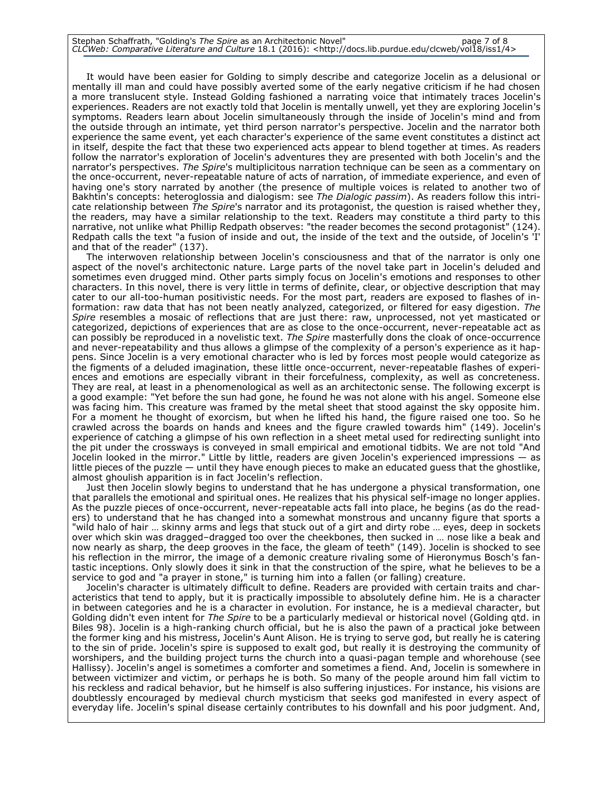# Stephan Schaffrath, "Golding's *The Spire* as an Architectonic Novel" page 7 of 8 *CLCWeb: Comparative Literature and Culture* 18.1 (2016): <http://docs.lib.purdue.edu/clcweb/vol18/iss1/4>

It would have been easier for Golding to simply describe and categorize Jocelin as a delusional or mentally ill man and could have possibly averted some of the early negative criticism if he had chosen a more translucent style. Instead Golding fashioned a narrating voice that intimately traces Jocelin's experiences. Readers are not exactly told that Jocelin is mentally unwell, yet they are exploring Jocelin's symptoms. Readers learn about Jocelin simultaneously through the inside of Jocelin's mind and from the outside through an intimate, yet third person narrator's perspective. Jocelin and the narrator both experience the same event, yet each character's experience of the same event constitutes a distinct act in itself, despite the fact that these two experienced acts appear to blend together at times. As readers follow the narrator's exploration of Jocelin's adventures they are presented with both Jocelin's and the narrator's perspectives. *The Spire*'s multiplicitous narration technique can be seen as a commentary on the once-occurrent, never-repeatable nature of acts of narration, of immediate experience, and even of having one's story narrated by another (the presence of multiple voices is related to another two of Bakhtin's concepts: heteroglossia and dialogism: see *The Dialogic passim*). As readers follow this intricate relationship between *The Spire*'s narrator and its protagonist, the question is raised whether they, the readers, may have a similar relationship to the text. Readers may constitute a third party to this narrative, not unlike what Phillip Redpath observes: "the reader becomes the second protagonist" (124). Redpath calls the text "a fusion of inside and out, the inside of the text and the outside, of Jocelin's 'I' and that of the reader" (137).

The interwoven relationship between Jocelin's consciousness and that of the narrator is only one aspect of the novel's architectonic nature. Large parts of the novel take part in Jocelin's deluded and sometimes even drugged mind. Other parts simply focus on Jocelin's emotions and responses to other characters. In this novel, there is very little in terms of definite, clear, or objective description that may cater to our all-too-human positivistic needs. For the most part, readers are exposed to flashes of information: raw data that has not been neatly analyzed, categorized, or filtered for easy digestion. *The Spire* resembles a mosaic of reflections that are just there: raw, unprocessed, not yet masticated or categorized, depictions of experiences that are as close to the once-occurrent, never-repeatable act as can possibly be reproduced in a novelistic text. *The Spire* masterfully dons the cloak of once-occurrence and never-repeatability and thus allows a glimpse of the complexity of a person's experience as it happens. Since Jocelin is a very emotional character who is led by forces most people would categorize as the figments of a deluded imagination, these little once-occurrent, never-repeatable flashes of experiences and emotions are especially vibrant in their forcefulness, complexity, as well as concreteness. They are real, at least in a phenomenological as well as an architectonic sense. The following excerpt is a good example: "Yet before the sun had gone, he found he was not alone with his angel. Someone else was facing him. This creature was framed by the metal sheet that stood against the sky opposite him. For a moment he thought of exorcism, but when he lifted his hand, the figure raised one too. So he crawled across the boards on hands and knees and the figure crawled towards him" (149). Jocelin's experience of catching a glimpse of his own reflection in a sheet metal used for redirecting sunlight into the pit under the crossways is conveyed in small empirical and emotional tidbits. We are not told "And Jocelin looked in the mirror." Little by little, readers are given Jocelin's experienced impressions — as little pieces of the puzzle — until they have enough pieces to make an educated guess that the ghostlike, almost ghoulish apparition is in fact Jocelin's reflection.

Just then Jocelin slowly begins to understand that he has undergone a physical transformation, one that parallels the emotional and spiritual ones. He realizes that his physical self-image no longer applies. As the puzzle pieces of once-occurrent, never-repeatable acts fall into place, he begins (as do the readers) to understand that he has changed into a somewhat monstrous and uncanny figure that sports a "wild halo of hair … skinny arms and legs that stuck out of a girt and dirty robe … eyes, deep in sockets over which skin was dragged–dragged too over the cheekbones, then sucked in … nose like a beak and now nearly as sharp, the deep grooves in the face, the gleam of teeth" (149). Jocelin is shocked to see his reflection in the mirror, the image of a demonic creature rivaling some of Hieronymus Bosch's fantastic inceptions. Only slowly does it sink in that the construction of the spire, what he believes to be a service to god and "a prayer in stone," is turning him into a fallen (or falling) creature.

Jocelin's character is ultimately difficult to define. Readers are provided with certain traits and characteristics that tend to apply, but it is practically impossible to absolutely define him. He is a character in between categories and he is a character in evolution. For instance, he is a medieval character, but Golding didn't even intent for *The Spire* to be a particularly medieval or historical novel (Golding qtd. in Biles 98). Jocelin is a high-ranking church official, but he is also the pawn of a practical joke between the former king and his mistress, Jocelin's Aunt Alison. He is trying to serve god, but really he is catering to the sin of pride. Jocelin's spire is supposed to exalt god, but really it is destroying the community of worshipers, and the building project turns the church into a quasi-pagan temple and whorehouse (see Hallissy). Jocelin's angel is sometimes a comforter and sometimes a fiend. And, Jocelin is somewhere in between victimizer and victim, or perhaps he is both. So many of the people around him fall victim to his reckless and radical behavior, but he himself is also suffering injustices. For instance, his visions are doubtlessly encouraged by medieval church mysticism that seeks god manifested in every aspect of everyday life. Jocelin's spinal disease certainly contributes to his downfall and his poor judgment. And,